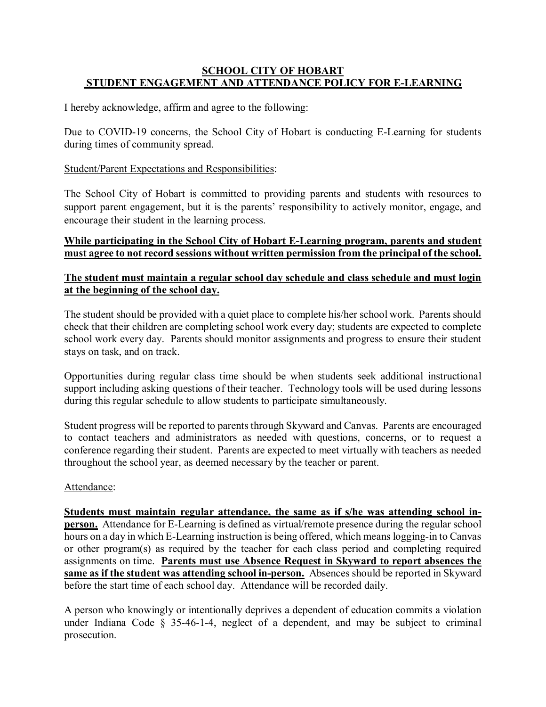# **SCHOOL CITY OF HOBART STUDENT ENGAGEMENT AND ATTENDANCE POLICY FOR E-LEARNING**

I hereby acknowledge, affirm and agree to the following:

Due to COVID-19 concerns, the School City of Hobart is conducting E-Learning for students during times of community spread.

## Student/Parent Expectations and Responsibilities:

The School City of Hobart is committed to providing parents and students with resources to support parent engagement, but it is the parents' responsibility to actively monitor, engage, and encourage their student in the learning process.

### **While participating in the School City of Hobart E-Learning program, parents and student must agree to not record sessions without written permission from the principal of the school.**

## **The student must maintain a regular school day schedule and class schedule and must login at the beginning of the school day.**

The student should be provided with a quiet place to complete his/her school work. Parents should check that their children are completing school work every day; students are expected to complete school work every day. Parents should monitor assignments and progress to ensure their student stays on task, and on track.

Opportunities during regular class time should be when students seek additional instructional support including asking questions of their teacher. Technology tools will be used during lessons during this regular schedule to allow students to participate simultaneously.

Student progress will be reported to parents through Skyward and Canvas. Parents are encouraged to contact teachers and administrators as needed with questions, concerns, or to request a conference regarding their student. Parents are expected to meet virtually with teachers as needed throughout the school year, as deemed necessary by the teacher or parent.

# Attendance:

**Students must maintain regular attendance, the same as if s/he was attending school inperson.** Attendance for E-Learning is defined as virtual/remote presence during the regular school hours on a day in which E-Learning instruction is being offered, which means logging-in to Canvas or other program(s) as required by the teacher for each class period and completing required assignments on time. **Parents must use Absence Request in Skyward to report absences the same as if the student was attending school in-person.** Absences should be reported in Skyward before the start time of each school day. Attendance will be recorded daily.

A person who knowingly or intentionally deprives a dependent of education commits a violation under Indiana Code § 35-46-1-4, neglect of a dependent, and may be subject to criminal prosecution.